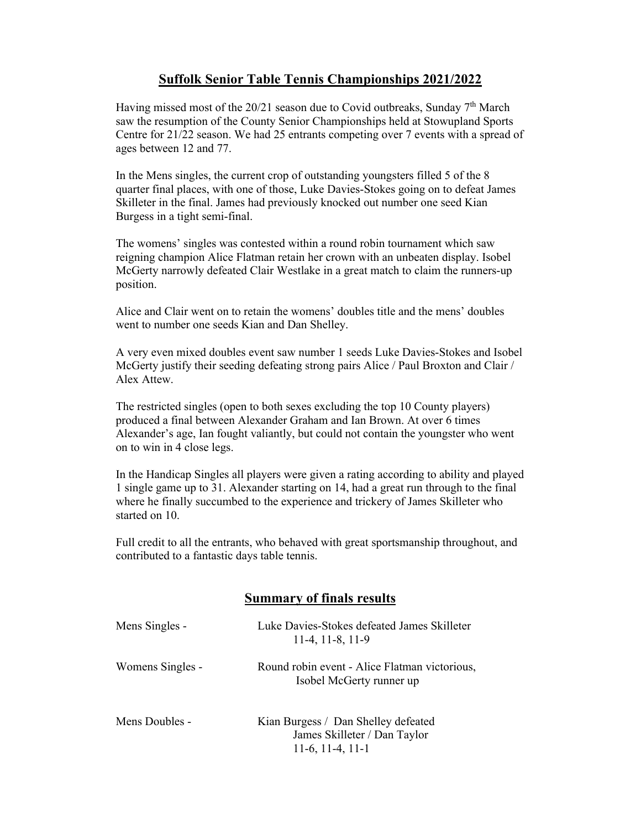## **Suffolk Senior Table Tennis Championships 2021/2022**

Having missed most of the  $20/21$  season due to Covid outbreaks, Sunday  $7<sup>th</sup>$  March saw the resumption of the County Senior Championships held at Stowupland Sports Centre for 21/22 season. We had 25 entrants competing over 7 events with a spread of ages between 12 and 77.

In the Mens singles, the current crop of outstanding youngsters filled 5 of the 8 quarter final places, with one of those, Luke Davies-Stokes going on to defeat James Skilleter in the final. James had previously knocked out number one seed Kian Burgess in a tight semi-final.

The womens' singles was contested within a round robin tournament which saw reigning champion Alice Flatman retain her crown with an unbeaten display. Isobel McGerty narrowly defeated Clair Westlake in a great match to claim the runners-up position.

Alice and Clair went on to retain the womens' doubles title and the mens' doubles went to number one seeds Kian and Dan Shelley.

A very even mixed doubles event saw number 1 seeds Luke Davies-Stokes and Isobel McGerty justify their seeding defeating strong pairs Alice / Paul Broxton and Clair / Alex Attew.

The restricted singles (open to both sexes excluding the top 10 County players) produced a final between Alexander Graham and Ian Brown. At over 6 times Alexander's age, Ian fought valiantly, but could not contain the youngster who went on to win in 4 close legs.

In the Handicap Singles all players were given a rating according to ability and played 1 single game up to 31. Alexander starting on 14, had a great run through to the final where he finally succumbed to the experience and trickery of James Skilleter who started on 10.

Full credit to all the entrants, who behaved with great sportsmanship throughout, and contributed to a fantastic days table tennis.

## **Summary of finals results**

| Mens Singles -   | Luke Davies-Stokes defeated James Skilleter<br>$11-4, 11-8, 11-9$                         |
|------------------|-------------------------------------------------------------------------------------------|
| Womens Singles - | Round robin event - Alice Flatman victorious,<br>Isobel McGerty runner up                 |
| Mens Doubles -   | Kian Burgess / Dan Shelley defeated<br>James Skilleter / Dan Taylor<br>$11-6, 11-4, 11-1$ |